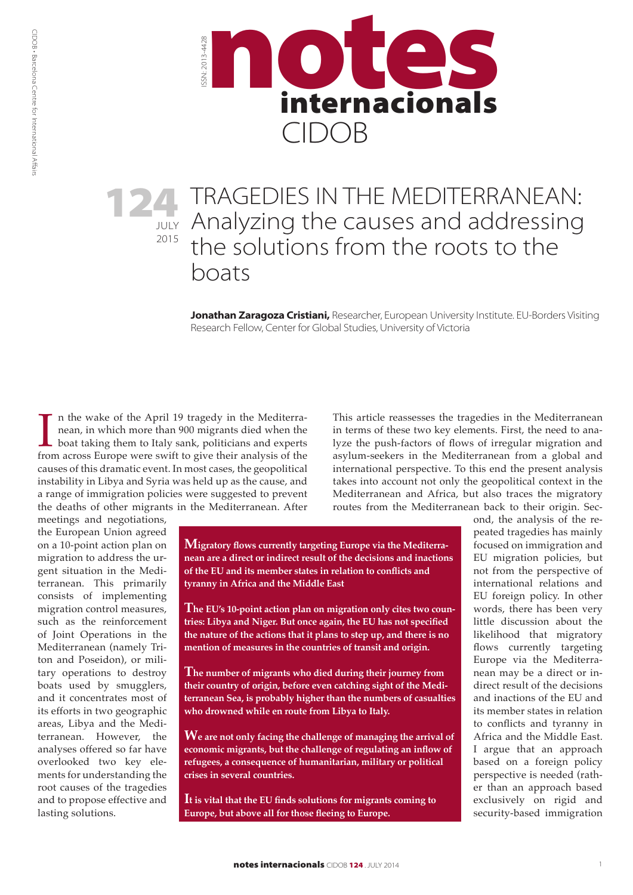CIDOB • Barcelona Centre for International Affairs



### JULY 2015 **124** TRAGEDIES IN THE MEDITERRANEAN:<br>Analyzing the causes and addressing Analyzing the causes and addressing the solutions from the roots to the boats

**Jonathan Zaragoza Cristiani,** Researcher, European University Institute. EU-Borders Visiting Research Fellow, Center for Global Studies, University of Victoria

In the wake of the April 19 tragedy in the Mediterra-<br>nean, in which more than 900 migrants died when the<br>boat taking them to Italy sank, politicians and experts<br>from across Europe were swift to give their analysis of the n the wake of the April 19 tragedy in the Mediterranean, in which more than 900 migrants died when the boat taking them to Italy sank, politicians and experts causes of this dramatic event. In most cases, the geopolitical instability in Libya and Syria was held up as the cause, and a range of immigration policies were suggested to prevent the deaths of other migrants in the Mediterranean. After

meetings and negotiations, the European Union agreed on a 10-point action plan on migration to address the urgent situation in the Mediterranean. This primarily consists of implementing migration control measures, such as the reinforcement of Joint Operations in the Mediterranean (namely Triton and Poseidon), or military operations to destroy boats used by smugglers, and it concentrates most of its efforts in two geographic areas, Libya and the Mediterranean. However, the analyses offered so far have overlooked two key elements for understanding the root causes of the tragedies and to propose effective and lasting solutions.

**Migratory flows currently targeting Europe via the Mediterranean are a direct or indirect result of the decisions and inactions of the EU and its member states in relation to conflicts and tyranny in Africa and the Middle East**

**The EU's 10-point action plan on migration only cites two countries: Libya and Niger. But once again, the EU has not specified the nature of the actions that it plans to step up, and there is no mention of measures in the countries of transit and origin.**

**The number of migrants who died during their journey from their country of origin, before even catching sight of the Mediterranean Sea, is probably higher than the numbers of casualties who drowned while en route from Libya to Italy.**

**We are not only facing the challenge of managing the arrival of economic migrants, but the challenge of regulating an inflow of refugees, a consequence of humanitarian, military or political crises in several countries.**

**It is vital that the EU finds solutions for migrants coming to Europe, but above all for those fleeing to Europe.** 

This article reassesses the tragedies in the Mediterranean in terms of these two key elements. First, the need to analyze the push-factors of flows of irregular migration and asylum-seekers in the Mediterranean from a global and international perspective. To this end the present analysis takes into account not only the geopolitical context in the Mediterranean and Africa, but also traces the migratory routes from the Mediterranean back to their origin. Sec-

> ond, the analysis of the repeated tragedies has mainly focused on immigration and EU migration policies, but not from the perspective of international relations and EU foreign policy. In other words, there has been very little discussion about the likelihood that migratory flows currently targeting Europe via the Mediterranean may be a direct or indirect result of the decisions and inactions of the EU and its member states in relation to conflicts and tyranny in Africa and the Middle East. I argue that an approach based on a foreign policy perspective is needed (rather than an approach based exclusively on rigid and security-based immigration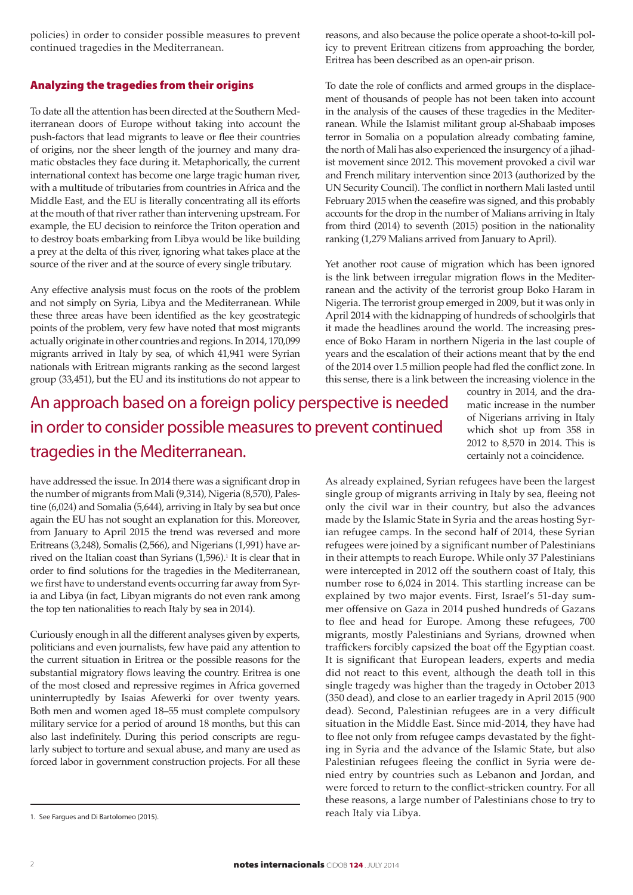policies) in order to consider possible measures to prevent continued tragedies in the Mediterranean.

#### Analyzing the tragedies from their origins

To date all the attention has been directed at the Southern Mediterranean doors of Europe without taking into account the push-factors that lead migrants to leave or flee their countries of origins, nor the sheer length of the journey and many dramatic obstacles they face during it. Metaphorically, the current international context has become one large tragic human river, with a multitude of tributaries from countries in Africa and the Middle East, and the EU is literally concentrating all its efforts at the mouth of that river rather than intervening upstream. For example, the EU decision to reinforce the Triton operation and to destroy boats embarking from Libya would be like building a prey at the delta of this river, ignoring what takes place at the source of the river and at the source of every single tributary.

Any effective analysis must focus on the roots of the problem and not simply on Syria, Libya and the Mediterranean. While these three areas have been identified as the key geostrategic points of the problem, very few have noted that most migrants actually originate in other countries and regions. In 2014, 170,099 migrants arrived in Italy by sea, of which 41,941 were Syrian nationals with Eritrean migrants ranking as the second largest group (33,451), but the EU and its institutions do not appear to

reasons, and also because the police operate a shoot-to-kill policy to prevent Eritrean citizens from approaching the border, Eritrea has been described as an open-air prison.

To date the role of conflicts and armed groups in the displacement of thousands of people has not been taken into account in the analysis of the causes of these tragedies in the Mediterranean. While the Islamist militant group al-Shabaab imposes terror in Somalia on a population already combating famine, the north of Mali has also experienced the insurgency of a jihadist movement since 2012. This movement provoked a civil war and French military intervention since 2013 (authorized by the UN Security Council). The conflict in northern Mali lasted until February 2015 when the ceasefire was signed, and this probably accounts for the drop in the number of Malians arriving in Italy from third (2014) to seventh (2015) position in the nationality ranking (1,279 Malians arrived from January to April).

Yet another root cause of migration which has been ignored is the link between irregular migration flows in the Mediterranean and the activity of the terrorist group Boko Haram in Nigeria. The terrorist group emerged in 2009, but it was only in April 2014 with the kidnapping of hundreds of schoolgirls that it made the headlines around the world. The increasing presence of Boko Haram in northern Nigeria in the last couple of years and the escalation of their actions meant that by the end of the 2014 over 1.5 million people had fled the conflict zone. In this sense, there is a link between the increasing violence in the

# An approach based on a foreign policy perspective is needed in order to consider possible measures to prevent continued tragedies in the Mediterranean.

country in 2014, and the dramatic increase in the number of Nigerians arriving in Italy which shot up from 358 in 2012 to 8,570 in 2014. This is certainly not a coincidence.

have addressed the issue. In 2014 there was a significant drop in the number of migrants from Mali (9,314), Nigeria (8,570), Palestine (6,024) and Somalia (5,644), arriving in Italy by sea but once again the EU has not sought an explanation for this. Moreover, from January to April 2015 the trend was reversed and more Eritreans (3,248), Somalis (2,566), and Nigerians (1,991) have arrived on the Italian coast than Syrians (1,596).<sup>1</sup> It is clear that in order to find solutions for the tragedies in the Mediterranean, we first have to understand events occurring far away from Syria and Libya (in fact, Libyan migrants do not even rank among the top ten nationalities to reach Italy by sea in 2014).

Curiously enough in all the different analyses given by experts, politicians and even journalists, few have paid any attention to the current situation in Eritrea or the possible reasons for the substantial migratory flows leaving the country. Eritrea is one of the most closed and repressive regimes in Africa governed uninterruptedly by Isaias Afewerki for over twenty years. Both men and women aged 18–55 must complete compulsory military service for a period of around 18 months, but this can also last indefinitely. During this period conscripts are regularly subject to torture and sexual abuse, and many are used as forced labor in government construction projects. For all these

As already explained, Syrian refugees have been the largest single group of migrants arriving in Italy by sea, fleeing not only the civil war in their country, but also the advances made by the Islamic State in Syria and the areas hosting Syrian refugee camps. In the second half of 2014, these Syrian refugees were joined by a significant number of Palestinians in their attempts to reach Europe. While only 37 Palestinians were intercepted in 2012 off the southern coast of Italy, this number rose to 6,024 in 2014. This startling increase can be explained by two major events. First, Israel's 51-day summer offensive on Gaza in 2014 pushed hundreds of Gazans to flee and head for Europe. Among these refugees, 700 migrants, mostly Palestinians and Syrians, drowned when traffickers forcibly capsized the boat off the Egyptian coast. It is significant that European leaders, experts and media did not react to this event, although the death toll in this single tragedy was higher than the tragedy in October 2013 (350 dead), and close to an earlier tragedy in April 2015 (900 dead). Second, Palestinian refugees are in a very difficult situation in the Middle East. Since mid-2014, they have had to flee not only from refugee camps devastated by the fighting in Syria and the advance of the Islamic State, but also Palestinian refugees fleeing the conflict in Syria were denied entry by countries such as Lebanon and Jordan, and were forced to return to the conflict-stricken country. For all these reasons, a large number of Palestinians chose to try to reach Italy via Libya.

<sup>1.</sup> See Fargues and Di Bartolomeo (2015).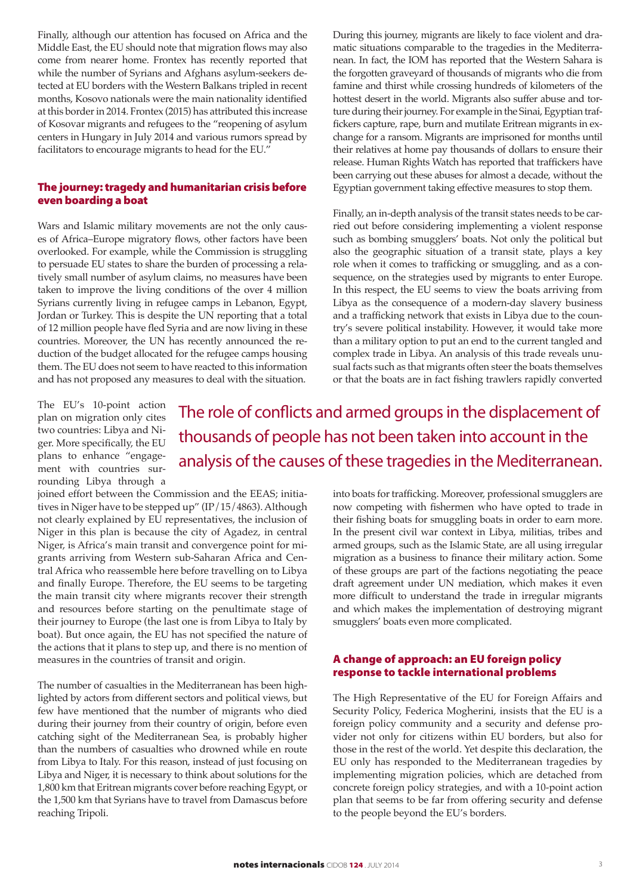Finally, although our attention has focused on Africa and the Middle East, the EU should note that migration flows may also come from nearer home. Frontex has recently reported that while the number of Syrians and Afghans asylum-seekers detected at EU borders with the Western Balkans tripled in recent months, Kosovo nationals were the main nationality identified at this border in 2014. Frontex (2015) has attributed this increase of Kosovar migrants and refugees to the "reopening of asylum centers in Hungary in July 2014 and various rumors spread by facilitators to encourage migrants to head for the EU."

#### The journey: tragedy and humanitarian crisis before even boarding a boat

Wars and Islamic military movements are not the only causes of Africa–Europe migratory flows, other factors have been overlooked. For example, while the Commission is struggling to persuade EU states to share the burden of processing a relatively small number of asylum claims, no measures have been taken to improve the living conditions of the over 4 million Syrians currently living in refugee camps in Lebanon, Egypt, Jordan or Turkey. This is despite the UN reporting that a total of 12 million people have fled Syria and are now living in these countries. Moreover, the UN has recently announced the reduction of the budget allocated for the refugee camps housing them. The EU does not seem to have reacted to this information and has not proposed any measures to deal with the situation.

During this journey, migrants are likely to face violent and dramatic situations comparable to the tragedies in the Mediterranean. In fact, the IOM has reported that the Western Sahara is the forgotten graveyard of thousands of migrants who die from famine and thirst while crossing hundreds of kilometers of the hottest desert in the world. Migrants also suffer abuse and torture during their journey. For example in the Sinai, Egyptian traffickers capture, rape, burn and mutilate Eritrean migrants in exchange for a ransom. Migrants are imprisoned for months until their relatives at home pay thousands of dollars to ensure their release. Human Rights Watch has reported that traffickers have been carrying out these abuses for almost a decade, without the Egyptian government taking effective measures to stop them.

Finally, an in-depth analysis of the transit states needs to be carried out before considering implementing a violent response such as bombing smugglers' boats. Not only the political but also the geographic situation of a transit state, plays a key role when it comes to trafficking or smuggling, and as a consequence, on the strategies used by migrants to enter Europe. In this respect, the EU seems to view the boats arriving from Libya as the consequence of a modern-day slavery business and a trafficking network that exists in Libya due to the country's severe political instability. However, it would take more than a military option to put an end to the current tangled and complex trade in Libya. An analysis of this trade reveals unusual facts such as that migrants often steer the boats themselves or that the boats are in fact fishing trawlers rapidly converted

The EU's 10-point action plan on migration only cites two countries: Libya and Niger. More specifically, the EU plans to enhance "engagement with countries surrounding Libya through a

The role of conflicts and armed groups in the displacement of thousands of people has not been taken into account in the analysis of the causes of these tragedies in the Mediterranean.

joined effort between the Commission and the EEAS; initiatives in Niger have to be stepped up" ([IP/15/4863\)](http://europa.eu/rapid/press-release_IP-15-4813_en.pdf). Although not clearly explained by EU representatives, the inclusion of Niger in this plan is because the city of Agadez, in central Niger, is Africa's main transit and convergence point for migrants arriving from Western sub-Saharan Africa and Central Africa who reassemble here before travelling on to Libya and finally Europe. Therefore, the EU seems to be targeting the main transit city where migrants recover their strength and resources before starting on the penultimate stage of their journey to Europe (the last one is from Libya to Italy by boat). But once again, the EU has not specified the nature of the actions that it plans to step up, and there is no mention of measures in the countries of transit and origin.

The number of casualties in the Mediterranean has been highlighted by actors from different sectors and political views, but few have mentioned that the number of migrants who died during their journey from their country of origin, before even catching sight of the Mediterranean Sea, is probably higher than the numbers of casualties who drowned while en route from Libya to Italy. For this reason, instead of just focusing on Libya and Niger, it is necessary to think about solutions for the 1,800 km that Eritrean migrants cover before reaching Egypt, or the 1,500 km that Syrians have to travel from Damascus before reaching Tripoli.

into boats for trafficking. Moreover, professional smugglers are now competing with fishermen who have opted to trade in their fishing boats for smuggling boats in order to earn more. In the present civil war context in Libya, militias, tribes and armed groups, such as the Islamic State, are all using irregular migration as a business to finance their military action. Some of these groups are part of the factions negotiating the peace draft agreement under UN mediation, which makes it even more difficult to understand the trade in irregular migrants and which makes the implementation of destroying migrant smugglers' boats even more complicated.

#### A change of approach: an EU foreign policy response to tackle international problems

The High Representative of the EU for Foreign Affairs and Security Policy, Federica Mogherini, insists that the EU is a foreign policy community and a security and defense provider not only for citizens within EU borders, but also for those in the rest of the world. Yet despite this declaration, the EU only has responded to the Mediterranean tragedies by implementing migration policies, which are detached from concrete foreign policy strategies, and with a 10-point action plan that seems to be far from offering security and defense to the people beyond the EU's borders.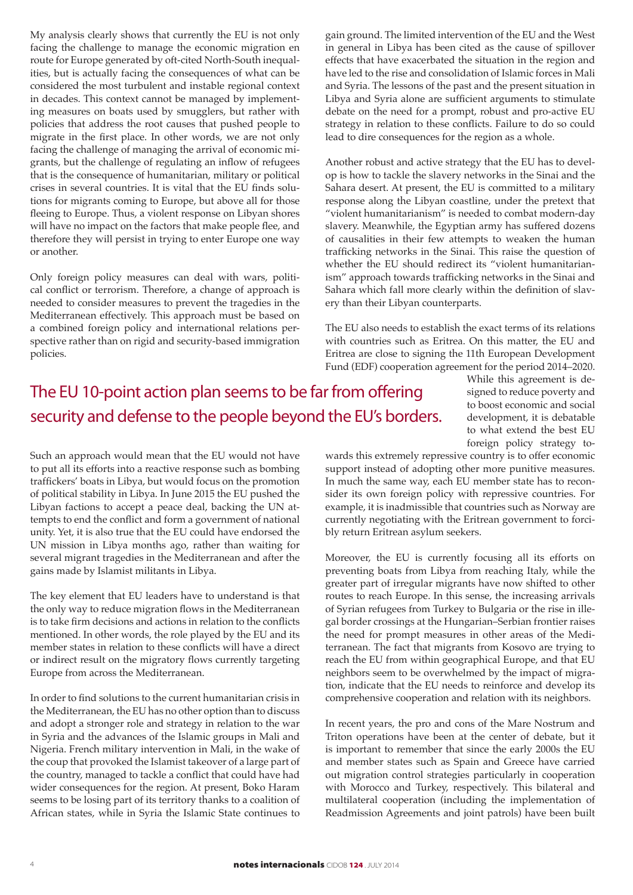My analysis clearly shows that currently the EU is not only facing the challenge to manage the economic migration en route for Europe generated by oft-cited North-South inequalities, but is actually facing the consequences of what can be considered the most turbulent and instable regional context in decades. This context cannot be managed by implementing measures on boats used by smugglers, but rather with policies that address the root causes that pushed people to migrate in the first place. In other words, we are not only facing the challenge of managing the arrival of economic migrants, but the challenge of regulating an inflow of refugees that is the consequence of humanitarian, military or political crises in several countries. It is vital that the EU finds solutions for migrants coming to Europe, but above all for those fleeing to Europe. Thus, a violent response on Libyan shores will have no impact on the factors that make people flee, and therefore they will persist in trying to enter Europe one way or another.

Only foreign policy measures can deal with wars, political conflict or terrorism. Therefore, a change of approach is needed to consider measures to prevent the tragedies in the Mediterranean effectively. This approach must be based on a combined foreign policy and international relations perspective rather than on rigid and security-based immigration policies.

gain ground. The limited intervention of the EU and the West in general in Libya has been cited as the cause of spillover effects that have exacerbated the situation in the region and have led to the rise and consolidation of Islamic forces in Mali and Syria. The lessons of the past and the present situation in Libya and Syria alone are sufficient arguments to stimulate debate on the need for a prompt, robust and pro-active EU strategy in relation to these conflicts. Failure to do so could lead to dire consequences for the region as a whole.

Another robust and active strategy that the EU has to develop is how to tackle the slavery networks in the Sinai and the Sahara desert. At present, the EU is committed to a military response along the Libyan coastline, under the pretext that "violent humanitarianism" is needed to combat modern-day slavery. Meanwhile, the Egyptian army has suffered dozens of causalities in their few attempts to weaken the human trafficking networks in the Sinai. This raise the question of whether the EU should redirect its "violent humanitarianism" approach towards trafficking networks in the Sinai and Sahara which fall more clearly within the definition of slavery than their Libyan counterparts.

The EU also needs to establish the exact terms of its relations with countries such as Eritrea. On this matter, the EU and Eritrea are close to signing the 11th European Development Fund (EDF) cooperation agreement for the period 2014–2020.

## The EU 10-point action plan seems to be far from offering security and defense to the people beyond the EU's borders.

While this agreement is designed to reduce poverty and to boost economic and social development, it is debatable to what extend the best EU foreign policy strategy to-

Such an approach would mean that the EU would not have to put all its efforts into a reactive response such as bombing traffickers' boats in Libya, but would focus on the promotion of political stability in Libya. In June 2015 the EU pushed the Libyan factions to accept a peace deal, backing the UN attempts to end the conflict and form a government of national unity. Yet, it is also true that the EU could have endorsed the UN mission in Libya months ago, rather than waiting for several migrant tragedies in the Mediterranean and after the gains made by Islamist militants in Libya.

The key element that EU leaders have to understand is that the only way to reduce migration flows in the Mediterranean is to take firm decisions and actions in relation to the conflicts mentioned. In other words, the role played by the EU and its member states in relation to these conflicts will have a direct or indirect result on the migratory flows currently targeting Europe from across the Mediterranean.

In order to find solutions to the current humanitarian crisis in the Mediterranean, the EU has no other option than to discuss and adopt a stronger role and strategy in relation to the war in Syria and the advances of the Islamic groups in Mali and Nigeria. French military intervention in Mali, in the wake of the coup that provoked the Islamist takeover of a large part of the country, managed to tackle a conflict that could have had wider consequences for the region. At present, Boko Haram seems to be losing part of its territory thanks to a coalition of African states, while in Syria the Islamic State continues to

wards this extremely repressive country is to offer economic support instead of adopting other more punitive measures. In much the same way, each EU member state has to reconsider its own foreign policy with repressive countries. For example, it is inadmissible that countries such as Norway are currently negotiating with the Eritrean government to forcibly return Eritrean asylum seekers.

Moreover, the EU is currently focusing all its efforts on preventing boats from Libya from reaching Italy, while the greater part of irregular migrants have now shifted to other routes to reach Europe. In this sense, the increasing arrivals of Syrian refugees from Turkey to Bulgaria or the rise in illegal border crossings at the Hungarian–Serbian frontier raises the need for prompt measures in other areas of the Mediterranean. The fact that migrants from Kosovo are trying to reach the EU from within geographical Europe, and that EU neighbors seem to be overwhelmed by the impact of migration, indicate that the EU needs to reinforce and develop its comprehensive cooperation and relation with its neighbors.

In recent years, the pro and cons of the Mare Nostrum and Triton operations have been at the center of debate, but it is important to remember that since the early 2000s the EU and member states such as Spain and Greece have carried out migration control strategies particularly in cooperation with Morocco and Turkey, respectively. This bilateral and multilateral cooperation (including the implementation of Readmission Agreements and joint patrols) have been built